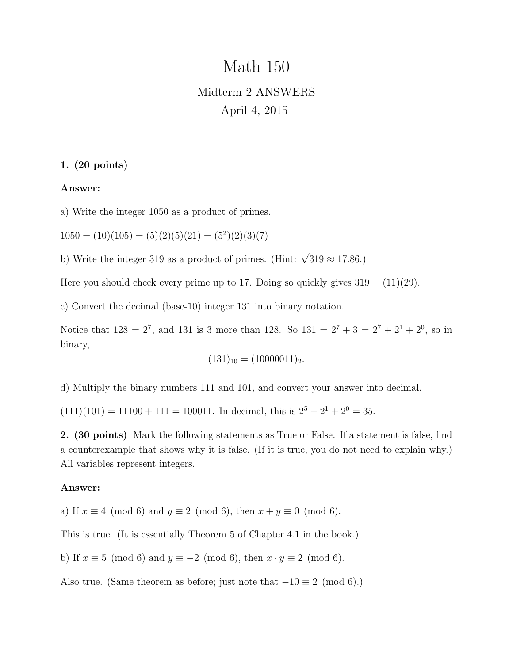# Math 150 Midterm 2 ANSWERS April 4, 2015

# 1. (20 points)

## Answer:

a) Write the integer 1050 as a product of primes.

 $1050 = (10)(105) = (5)(2)(5)(21) = (5<sup>2</sup>)(2)(3)(7)$ 

b) Write the integer 319 as a product of primes. (Hint:  $\sqrt{319} \approx 17.86$ .)

Here you should check every prime up to 17. Doing so quickly gives  $319 = (11)(29)$ .

c) Convert the decimal (base-10) integer 131 into binary notation.

Notice that  $128 = 2^7$ , and 131 is 3 more than 128. So  $131 = 2^7 + 3 = 2^7 + 2^1 + 2^0$ , so in binary,

$$
(131)_{10} = (10000011)_2.
$$

d) Multiply the binary numbers 111 and 101, and convert your answer into decimal.

 $(111)(101) = 11100 + 111 = 100011$ . In decimal, this is  $2^5 + 2^1 + 2^0 = 35$ .

2. (30 points) Mark the following statements as True or False. If a statement is false, find a counterexample that shows why it is false. (If it is true, you do not need to explain why.) All variables represent integers.

## Answer:

a) If  $x \equiv 4 \pmod{6}$  and  $y \equiv 2 \pmod{6}$ , then  $x + y \equiv 0 \pmod{6}$ .

This is true. (It is essentially Theorem 5 of Chapter 4.1 in the book.)

b) If  $x \equiv 5 \pmod{6}$  and  $y \equiv -2 \pmod{6}$ , then  $x \cdot y \equiv 2 \pmod{6}$ .

Also true. (Same theorem as before; just note that  $-10 \equiv 2 \pmod{6}$ .)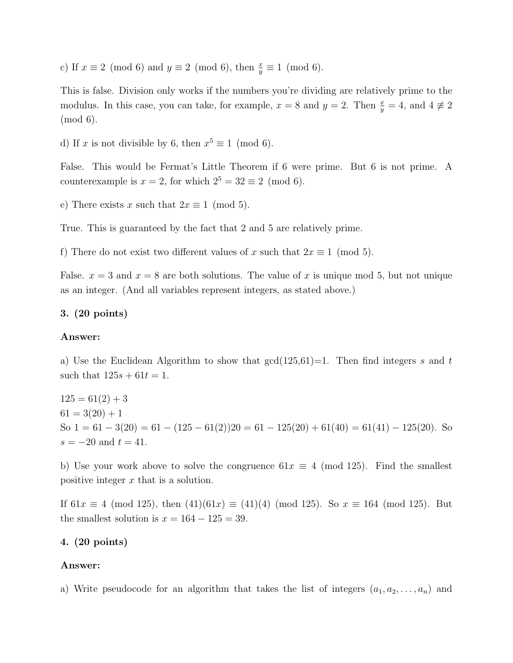c) If  $x \equiv 2 \pmod{6}$  and  $y \equiv 2 \pmod{6}$ , then  $\frac{x}{y} \equiv 1 \pmod{6}$ .

This is false. Division only works if the numbers you're dividing are relatively prime to the modulus. In this case, you can take, for example,  $x = 8$  and  $y = 2$ . Then  $\frac{x}{y} = 4$ , and  $4 \neq 2$ (mod 6).

d) If x is not divisible by 6, then  $x^5 \equiv 1 \pmod{6}$ .

False. This would be Fermat's Little Theorem if 6 were prime. But 6 is not prime. A counterexample is  $x = 2$ , for which  $2^5 = 32 \equiv 2 \pmod{6}$ .

e) There exists x such that  $2x \equiv 1 \pmod{5}$ .

True. This is guaranteed by the fact that 2 and 5 are relatively prime.

f) There do not exist two different values of x such that  $2x \equiv 1 \pmod{5}$ .

False.  $x = 3$  and  $x = 8$  are both solutions. The value of x is unique mod 5, but not unique as an integer. (And all variables represent integers, as stated above.)

## 3. (20 points)

## Answer:

a) Use the Euclidean Algorithm to show that  $gcd(125,61)=1$ . Then find integers s and t such that  $125s + 61t = 1$ .

 $125 = 61(2) + 3$  $61 = 3(20) + 1$ So  $1 = 61 - 3(20) = 61 - (125 - 61(2))20 = 61 - 125(20) + 61(40) = 61(41) - 125(20)$ . So  $s = -20$  and  $t = 41$ .

b) Use your work above to solve the congruence  $61x \equiv 4 \pmod{125}$ . Find the smallest positive integer x that is a solution.

If 61x  $\equiv$  4 (mod 125), then  $(41)(61x) \equiv (41)(4)$  (mod 125). So  $x \equiv 164$  (mod 125). But the smallest solution is  $x = 164 - 125 = 39$ .

## 4. (20 points)

## Answer:

a) Write pseudocode for an algorithm that takes the list of integers  $(a_1, a_2, \ldots, a_n)$  and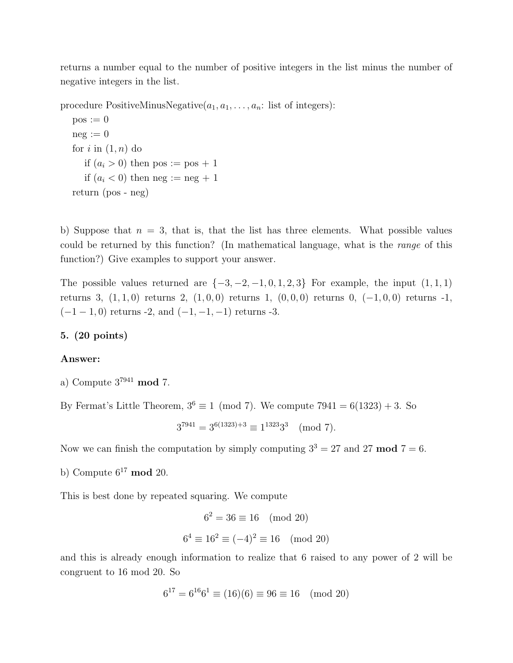returns a number equal to the number of positive integers in the list minus the number of negative integers in the list.

procedure PositiveMinusNegative $(a_1, a_1, \ldots, a_n:$  list of integers):

```
pos := 0neg := 0for i in (1, n) do
  if (a_i > 0) then pos := pos + 1
  if (a_i < 0) then neg := neg + 1
return (pos - neg)
```
b) Suppose that  $n = 3$ , that is, that the list has three elements. What possible values could be returned by this function? (In mathematical language, what is the range of this function?) Give examples to support your answer.

The possible values returned are  $\{-3, -2, -1, 0, 1, 2, 3\}$  For example, the input  $(1, 1, 1)$ returns 3, (1, 1, 0) returns 2, (1, 0, 0) returns 1, (0, 0, 0) returns 0, (−1, 0, 0) returns -1,  $(-1 - 1, 0)$  returns -2, and  $(-1, -1, -1)$  returns -3.

## 5. (20 points)

## Answer:

a) Compute  $3^{7941}$  mod 7.

By Fermat's Little Theorem,  $3^6 \equiv 1 \pmod{7}$ . We compute 7941 = 6(1323) + 3. So

 $3^{7941} = 3^{6(1323)+3} \equiv 1^{1323}3^3 \pmod{7}.$ 

Now we can finish the computation by simply computing  $3^3 = 27$  and  $27 \text{ mod } 7 = 6$ .

b) Compute  $6^{17}$  mod 20.

This is best done by repeated squaring. We compute

$$
6^2 = 36 \equiv 16 \pmod{20}
$$
  
 $6^4 \equiv 16^2 \equiv (-4)^2 \equiv 16 \pmod{20}$ 

and this is already enough information to realize that 6 raised to any power of 2 will be congruent to 16 mod 20. So

$$
6^{17} = 6^{16}6^1 \equiv (16)(6) \equiv 96 \equiv 16 \pmod{20}
$$